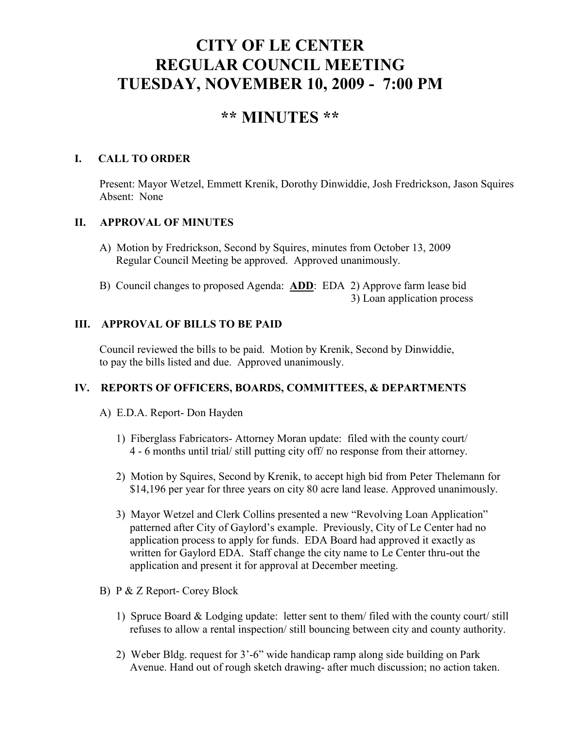# **CITY OF LE CENTER REGULAR COUNCIL MEETING TUESDAY, NOVEMBER 10, 2009 - 7:00 PM**

## **\*\* MINUTES \*\***

## **I. CALL TO ORDER**

Present: Mayor Wetzel, Emmett Krenik, Dorothy Dinwiddie, Josh Fredrickson, Jason Squires Absent: None

## **II. APPROVAL OF MINUTES**

- A) Motion by Fredrickson, Second by Squires, minutes from October 13, 2009 Regular Council Meeting be approved. Approved unanimously.
- B) Council changes to proposed Agenda: **ADD**: EDA 2) Approve farm lease bid 3) Loan application process

## **III. APPROVAL OF BILLS TO BE PAID**

Council reviewed the bills to be paid. Motion by Krenik, Second by Dinwiddie, to pay the bills listed and due. Approved unanimously.

## **IV. REPORTS OF OFFICERS, BOARDS, COMMITTEES, & DEPARTMENTS**

## A) E.D.A. Report- Don Hayden

- 1) Fiberglass Fabricators- Attorney Moran update: filed with the county court/ 4 - 6 months until trial/ still putting city off/ no response from their attorney.
- 2) Motion by Squires, Second by Krenik, to accept high bid from Peter Thelemann for \$14,196 per year for three years on city 80 acre land lease. Approved unanimously.
- 3) Mayor Wetzel and Clerk Collins presented a new "Revolving Loan Application" patterned after City of Gaylord's example. Previously, City of Le Center had no application process to apply for funds. EDA Board had approved it exactly as written for Gaylord EDA. Staff change the city name to Le Center thru-out the application and present it for approval at December meeting.
- B) P & Z Report- Corey Block
	- 1) Spruce Board & Lodging update: letter sent to them/ filed with the county court/ still refuses to allow a rental inspection/ still bouncing between city and county authority.
	- 2) Weber Bldg. request for 3'-6" wide handicap ramp along side building on Park Avenue. Hand out of rough sketch drawing- after much discussion; no action taken.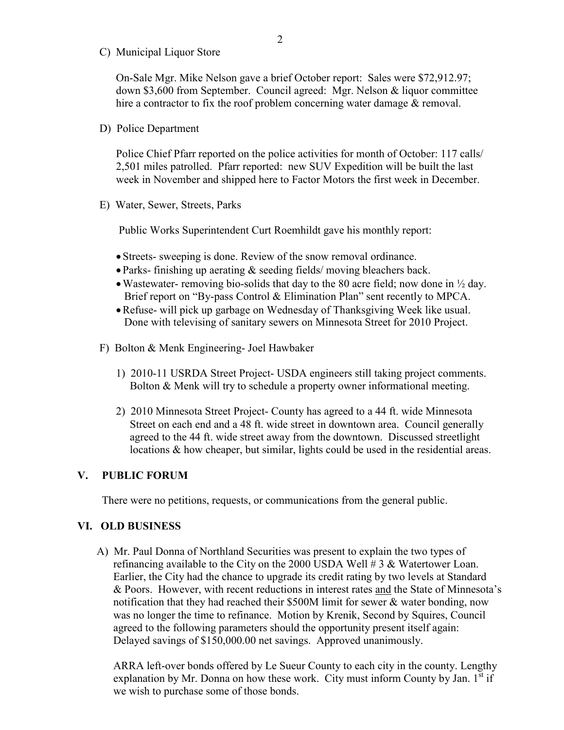C) Municipal Liquor Store

On-Sale Mgr. Mike Nelson gave a brief October report: Sales were \$72,912.97; down \$3,600 from September. Council agreed: Mgr. Nelson & liquor committee hire a contractor to fix the roof problem concerning water damage & removal.

D) Police Department

Police Chief Pfarr reported on the police activities for month of October: 117 calls/ 2,501 miles patrolled. Pfarr reported: new SUV Expedition will be built the last week in November and shipped here to Factor Motors the first week in December.

E) Water, Sewer, Streets, Parks

Public Works Superintendent Curt Roemhildt gave his monthly report:

- Streets- sweeping is done. Review of the snow removal ordinance.
- Parks- finishing up aerating & seeding fields/ moving bleachers back.
- Wastewater- removing bio-solids that day to the 80 acre field; now done in  $\frac{1}{2}$  day. Brief report on "By-pass Control & Elimination Plan" sent recently to MPCA.
- •Refuse- will pick up garbage on Wednesday of Thanksgiving Week like usual. Done with televising of sanitary sewers on Minnesota Street for 2010 Project.
- F) Bolton & Menk Engineering- Joel Hawbaker
	- 1) 2010-11 USRDA Street Project- USDA engineers still taking project comments. Bolton & Menk will try to schedule a property owner informational meeting.
	- 2) 2010 Minnesota Street Project- County has agreed to a 44 ft. wide Minnesota Street on each end and a 48 ft. wide street in downtown area. Council generally agreed to the 44 ft. wide street away from the downtown. Discussed streetlight locations & how cheaper, but similar, lights could be used in the residential areas.

#### **V. PUBLIC FORUM**

There were no petitions, requests, or communications from the general public.

#### **VI. OLD BUSINESS**

A) Mr. Paul Donna of Northland Securities was present to explain the two types of refinancing available to the City on the 2000 USDA Well # 3 & Watertower Loan. Earlier, the City had the chance to upgrade its credit rating by two levels at Standard & Poors. However, with recent reductions in interest rates and the State of Minnesota's notification that they had reached their \$500M limit for sewer & water bonding, now was no longer the time to refinance. Motion by Krenik, Second by Squires, Council agreed to the following parameters should the opportunity present itself again: Delayed savings of \$150,000.00 net savings. Approved unanimously.

 ARRA left-over bonds offered by Le Sueur County to each city in the county. Lengthy explanation by Mr. Donna on how these work. City must inform County by Jan.  $1<sup>st</sup>$  if we wish to purchase some of those bonds.